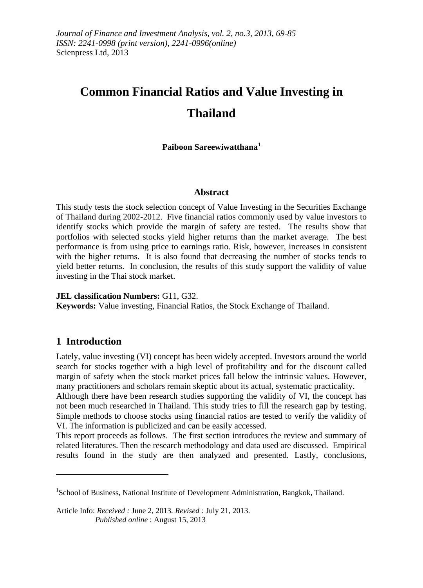# **Common Financial Ratios and Value Investing in Thailand**

#### **Paiboon Sareewiwatthana<sup>1</sup>**

#### **Abstract**

This study tests the stock selection concept of Value Investing in the Securities Exchange of Thailand during 2002-2012. Five financial ratios commonly used by value investors to identify stocks which provide the margin of safety are tested. The results show that portfolios with selected stocks yield higher returns than the market average. The best performance is from using price to earnings ratio. Risk, however, increases in consistent with the higher returns. It is also found that decreasing the number of stocks tends to yield better returns. In conclusion, the results of this study support the validity of value investing in the Thai stock market.

#### **JEL classification Numbers:** G11, G32.

**Keywords:** Value investing, Financial Ratios, the Stock Exchange of Thailand.

# **1 Introduction**

1

Lately, value investing (VI) concept has been widely accepted. Investors around the world search for stocks together with a high level of profitability and for the discount called margin of safety when the stock market prices fall below the intrinsic values. However, many practitioners and scholars remain skeptic about its actual, systematic practicality.

Although there have been research studies supporting the validity of VI, the concept has not been much researched in Thailand. This study tries to fill the research gap by testing. Simple methods to choose stocks using financial ratios are tested to verify the validity of VI. The information is publicized and can be easily accessed.

This report proceeds as follows. The first section introduces the review and summary of related literatures. Then the research methodology and data used are discussed. Empirical results found in the study are then analyzed and presented. Lastly, conclusions,

<sup>&</sup>lt;sup>1</sup>School of Business, National Institute of Development Administration, Bangkok, Thailand.

Article Info: *Received :* June 2, 2013*. Revised :* July 21, 2013.  *Published online* : August 15, 2013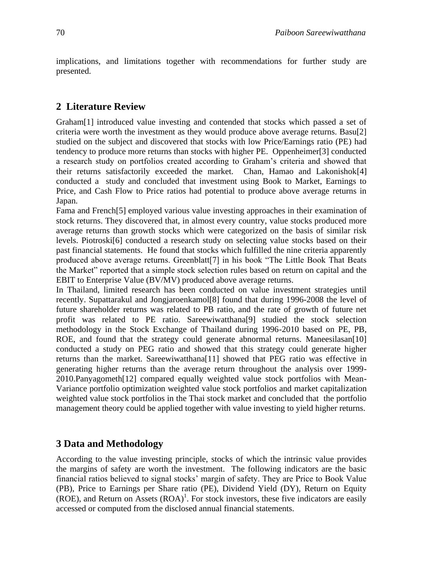implications, and limitations together with recommendations for further study are presented.

### **2 Literature Review**

Graham[1] introduced value investing and contended that stocks which passed a set of criteria were worth the investment as they would produce above average returns. Basu[2] studied on the subject and discovered that stocks with low Price/Earnings ratio (PE) had tendency to produce more returns than stocks with higher PE. Oppenheimer[3] conducted a research study on portfolios created according to Graham's criteria and showed that their returns satisfactorily exceeded the market. Chan, Hamao and Lakonishok[4] conducted a study and concluded that investment using Book to Market, Earnings to Price, and Cash Flow to Price ratios had potential to produce above average returns in Japan.

Fama and French[5] employed various value investing approaches in their examination of stock returns. They discovered that, in almost every country, value stocks produced more average returns than growth stocks which were categorized on the basis of similar risk levels. Piotroski[6] conducted a research study on selecting value stocks based on their past financial statements. He found that stocks which fulfilled the nine criteria apparently produced above average returns. Greenblatt[7] in his book "The Little Book That Beats the Market" reported that a simple stock selection rules based on return on capital and the EBIT to Enterprise Value (BV/MV) produced above average returns.

In Thailand, limited research has been conducted on value investment strategies until recently. Supattarakul and Jongjaroenkamol[8] found that during 1996-2008 the level of future shareholder returns was related to PB ratio, and the rate of growth of future net profit was related to PE ratio. Sareewiwatthana[9] studied the stock selection methodology in the Stock Exchange of Thailand during 1996-2010 based on PE, PB, ROE, and found that the strategy could generate abnormal returns. Maneesilasan[10] conducted a study on PEG ratio and showed that this strategy could generate higher returns than the market. Sareewiwatthana[11] showed that PEG ratio was effective in generating higher returns than the average return throughout the analysis over 1999- 2010.Panyagometh[12] compared equally weighted value stock portfolios with Mean-Variance portfolio optimization weighted value stock portfolios and market capitalization weighted value stock portfolios in the Thai stock market and concluded that the portfolio management theory could be applied together with value investing to yield higher returns.

### **3 Data and Methodology**

According to the value investing principle, stocks of which the intrinsic value provides the margins of safety are worth the investment. The following indicators are the basic financial ratios believed to signal stocks' margin of safety. They are Price to Book Value (PB), Price to Earnings per Share ratio (PE), Dividend Yield (DY), Return on Equity (ROE), and Return on Assets (ROA) 1 . For stock investors, these five indicators are easily accessed or computed from the disclosed annual financial statements.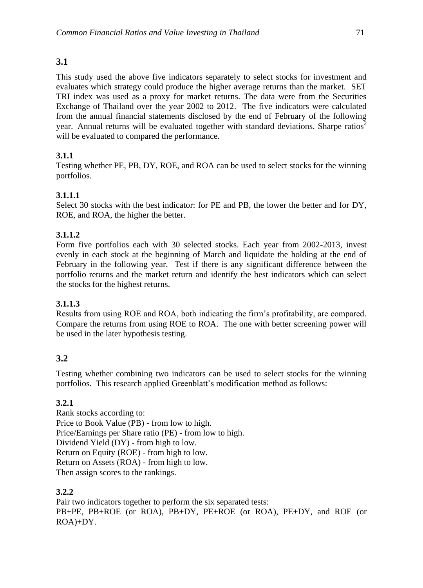This study used the above five indicators separately to select stocks for investment and evaluates which strategy could produce the higher average returns than the market. SET TRI index was used as a proxy for market returns. The data were from the Securities Exchange of Thailand over the year 2002 to 2012. The five indicators were calculated from the annual financial statements disclosed by the end of February of the following year. Annual returns will be evaluated together with standard deviations. Sharpe ratios<sup>2</sup> will be evaluated to compared the performance.

# **3.1.1**

Testing whether PE, PB, DY, ROE, and ROA can be used to select stocks for the winning portfolios.

# **3.1.1.1**

Select 30 stocks with the best indicator: for PE and PB, the lower the better and for DY, ROE, and ROA, the higher the better.

# **3.1.1.2**

Form five portfolios each with 30 selected stocks. Each year from 2002-2013, invest evenly in each stock at the beginning of March and liquidate the holding at the end of February in the following year. Test if there is any significant difference between the portfolio returns and the market return and identify the best indicators which can select the stocks for the highest returns.

### **3.1.1.3**

Results from using ROE and ROA, both indicating the firm's profitability, are compared. Compare the returns from using ROE to ROA. The one with better screening power will be used in the later hypothesis testing.

# **3.2**

Testing whether combining two indicators can be used to select stocks for the winning portfolios. This research applied Greenblatt's modification method as follows:

# **3.2.1**

Rank stocks according to: Price to Book Value (PB) - from low to high. Price/Earnings per Share ratio (PE) - from low to high. Dividend Yield (DY) - from high to low. Return on Equity (ROE) - from high to low. Return on Assets (ROA) - from high to low. Then assign scores to the rankings.

### **3.2.2**

Pair two indicators together to perform the six separated tests: PB+PE, PB+ROE (or ROA), PB+DY, PE+ROE (or ROA), PE+DY, and ROE (or ROA)+DY.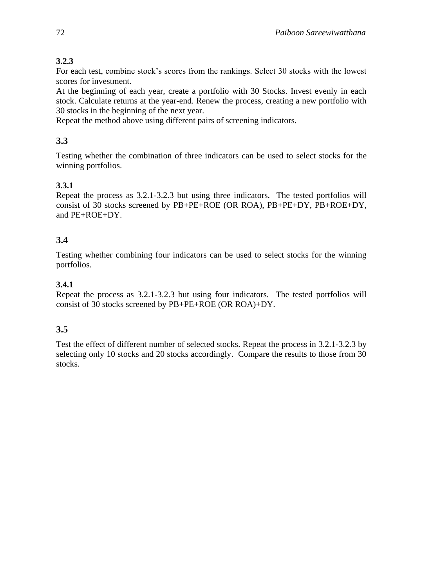# **3.2.3**

For each test, combine stock's scores from the rankings. Select 30 stocks with the lowest scores for investment.

At the beginning of each year, create a portfolio with 30 Stocks. Invest evenly in each stock. Calculate returns at the year-end. Renew the process, creating a new portfolio with 30 stocks in the beginning of the next year.

Repeat the method above using different pairs of screening indicators.

# **3.3**

Testing whether the combination of three indicators can be used to select stocks for the winning portfolios.

# **3.3.1**

Repeat the process as 3.2.1-3.2.3 but using three indicators. The tested portfolios will consist of 30 stocks screened by PB+PE+ROE (OR ROA), PB+PE+DY, PB+ROE+DY, and PE+ROE+DY.

# **3.4**

Testing whether combining four indicators can be used to select stocks for the winning portfolios.

# **3.4.1**

Repeat the process as 3.2.1-3.2.3 but using four indicators. The tested portfolios will consist of 30 stocks screened by PB+PE+ROE (OR ROA)+DY.

# **3.5**

Test the effect of different number of selected stocks. Repeat the process in 3.2.1-3.2.3 by selecting only 10 stocks and 20 stocks accordingly. Compare the results to those from 30 stocks.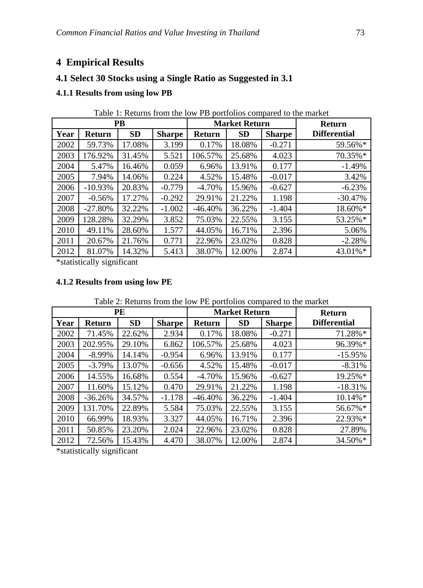# **Empirical Results**

# **4.1 Select 30 Stocks using a Single Ratio as Suggested in 3.1**

#### **4.1.1 Results from using low PB**

|      | Twere it recently from the fow I <b>D</b> portrollow compared to the mainer |           |               |            |                      |               |                     |  |  |  |  |
|------|-----------------------------------------------------------------------------|-----------|---------------|------------|----------------------|---------------|---------------------|--|--|--|--|
|      |                                                                             | <b>PB</b> |               |            | <b>Market Return</b> |               | <b>Return</b>       |  |  |  |  |
| Year | Return                                                                      | <b>SD</b> | <b>Sharpe</b> | Return     | <b>SD</b>            | <b>Sharpe</b> | <b>Differential</b> |  |  |  |  |
| 2002 | 59.73%                                                                      | 17.08%    | 3.199         | 0.17%      | 18.08%               | $-0.271$      | 59.56%*             |  |  |  |  |
| 2003 | 176.92%                                                                     | 31.45%    | 5.521         | 106.57%    | 25.68%               | 4.023         | 70.35%*             |  |  |  |  |
| 2004 | 5.47%                                                                       | 16.46%    | 0.059         | 6.96%      | 13.91%               | 0.177         | $-1.49%$            |  |  |  |  |
| 2005 | 7.94%                                                                       | 14.06%    | 0.224         | 4.52%      | 15.48%               | $-0.017$      | 3.42%               |  |  |  |  |
| 2006 | $-10.93%$                                                                   | 20.83%    | $-0.779$      | $-4.70%$   | 15.96%               | $-0.627$      | $-6.23%$            |  |  |  |  |
| 2007 | $-0.56%$                                                                    | 17.27%    | $-0.292$      | 29.91%     | 21.22%               | 1.198         | $-30.47%$           |  |  |  |  |
| 2008 | $-27.80%$                                                                   | 32.22%    | $-1.002$      | $-46.40\%$ | 36.22%               | $-1.404$      | 18.60%*             |  |  |  |  |
| 2009 | 128.28%                                                                     | 32.29%    | 3.852         | 75.03%     | 22.55%               | 3.155         | 53.25%*             |  |  |  |  |
| 2010 | 49.11%                                                                      | 28.60%    | 1.577         | 44.05%     | 16.71%               | 2.396         | 5.06%               |  |  |  |  |

Table 1: Returns from the low PB portfolios compared to the market

\*statistically significant

#### **4.1.2 Results from using low PE**

|      |               | PE        |               | <b>Market Return</b> |           |               | Return                 |
|------|---------------|-----------|---------------|----------------------|-----------|---------------|------------------------|
| Year | <b>Return</b> | <b>SD</b> | <b>Sharpe</b> | <b>Return</b>        | <b>SD</b> | <b>Sharpe</b> | <b>Differential</b>    |
| 2002 | 71.45%        | 22.62%    | 2.934         | 0.17%                | 18.08%    | $-0.271$      | 71.28%*                |
| 2003 | 202.95%       | 29.10%    | 6.862         | 106.57%              | 25.68%    | 4.023         | 96.39%*                |
| 2004 | $-8.99\%$     | 14.14%    | $-0.954$      | 6.96%                | 13.91%    | 0.177         | $-15.95%$              |
| 2005 | $-3.79%$      | 13.07%    | $-0.656$      | 4.52%                | 15.48%    | $-0.017$      | $-8.31%$               |
| 2006 | 14.55%        | 16.68%    | 0.554         | $-4.70%$             | 15.96%    | $-0.627$      | 19.25%*                |
| 2007 | 11.60%        | 15.12%    | 0.470         | 29.91%               | 21.22%    | 1.198         | $-18.31%$              |
| 2008 | $-36.26%$     | 34.57%    | $-1.178$      | $-46.40\%$           | 36.22%    | $-1.404$      | $10.14\%$ <sup>*</sup> |
| 2009 | 131.70%       | 22.89%    | 5.584         | 75.03%               | 22.55%    | 3.155         | 56.67%*                |
| 2010 | 66.99%        | 18.93%    | 3.327         | 44.05%               | 16.71%    | 2.396         | 22.93%*                |
| 2011 | 50.85%        | 23.20%    | 2.024         | 22.96%               | 23.02%    | 0.828         | 27.89%                 |
| 2012 | 72.56%        | 15.43%    | 4.470         | 38.07%               | 12.00%    | 2.874         | 34.50%*                |

Table 2: Returns from the low PE portfolios compared to the market

2011 | 20.67% | 21.76% | 0.771 | 22.96% | 23.02% | 0.828 | -2.28% 81.07% 14.32% 5.413 38.07% 12.00% 2.874 43.01%\*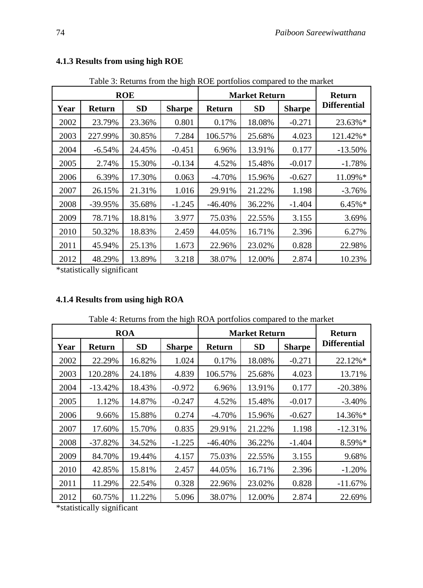|      |               |            |               |               | Table 5. Returns from the high ROE portfollos compared to the market |               |                     |  |  |  |  |  |  |  |  |
|------|---------------|------------|---------------|---------------|----------------------------------------------------------------------|---------------|---------------------|--|--|--|--|--|--|--|--|
|      |               | <b>ROE</b> |               |               | <b>Market Return</b>                                                 |               | <b>Return</b>       |  |  |  |  |  |  |  |  |
| Year | <b>Return</b> | <b>SD</b>  | <b>Sharpe</b> | <b>Return</b> | <b>SD</b>                                                            | <b>Sharpe</b> | <b>Differential</b> |  |  |  |  |  |  |  |  |
| 2002 | 23.79%        | 23.36%     | 0.801         | 0.17%         | 18.08%                                                               | $-0.271$      | 23.63%*             |  |  |  |  |  |  |  |  |
| 2003 | 227.99%       | 30.85%     | 7.284         | 106.57%       | 25.68%                                                               | 4.023         | 121.42%*            |  |  |  |  |  |  |  |  |
| 2004 | $-6.54%$      | 24.45%     | $-0.451$      | 6.96%         | 13.91%                                                               | 0.177         | $-13.50%$           |  |  |  |  |  |  |  |  |
| 2005 | 2.74%         | 15.30%     | $-0.134$      | 4.52%         | 15.48%                                                               | $-0.017$      | $-1.78%$            |  |  |  |  |  |  |  |  |
| 2006 | 6.39%         | 17.30%     | 0.063         | $-4.70%$      | 15.96%                                                               | $-0.627$      | 11.09%*             |  |  |  |  |  |  |  |  |
| 2007 | 26.15%        | 21.31%     | 1.016         | 29.91%        | 21.22%                                                               | 1.198         | $-3.76%$            |  |  |  |  |  |  |  |  |
| 2008 | $-39.95%$     | 35.68%     | $-1.245$      | $-46.40%$     | 36.22%                                                               | $-1.404$      | 6.45%*              |  |  |  |  |  |  |  |  |
| 2009 | 78.71%        | 18.81%     | 3.977         | 75.03%        | 22.55%                                                               | 3.155         | 3.69%               |  |  |  |  |  |  |  |  |
| 2010 | 50.32%        | 18.83%     | 2.459         | 44.05%        | 16.71%                                                               | 2.396         | 6.27%               |  |  |  |  |  |  |  |  |
| 2011 | 45.94%        | 25.13%     | 1.673         | 22.96%        | 23.02%                                                               | 0.828         | 22.98%              |  |  |  |  |  |  |  |  |
| 2012 | 48.29%        | 13.89%     | 3.218         | 38.07%        | 12.00%                                                               | 2.874         | 10.23%              |  |  |  |  |  |  |  |  |

### **4.1.3 Results from using high ROE**

Table 3: Returns from the high ROE portfolios compared to the market

\*statistically significant

# **4.1.4 Results from using high ROA**

|      | racio il recumb from the mgn recta portrollos computed to the mulher |            |               |                      |           |               |                     |  |  |  |  |
|------|----------------------------------------------------------------------|------------|---------------|----------------------|-----------|---------------|---------------------|--|--|--|--|
|      |                                                                      | <b>ROA</b> |               | <b>Market Return</b> |           | <b>Return</b> |                     |  |  |  |  |
| Year | Return                                                               | <b>SD</b>  | <b>Sharpe</b> | Return               | <b>SD</b> | <b>Sharpe</b> | <b>Differential</b> |  |  |  |  |
| 2002 | 22.29%                                                               | 16.82%     | 1.024         | 0.17%                | 18.08%    | $-0.271$      | 22.12%*             |  |  |  |  |
| 2003 | 120.28%                                                              | 24.18%     | 4.839         | 106.57%              | 25.68%    | 4.023         | 13.71%              |  |  |  |  |
| 2004 | $-13.42%$                                                            | 18.43%     | $-0.972$      | 6.96%                | 13.91%    | 0.177         | $-20.38%$           |  |  |  |  |
| 2005 | 1.12%                                                                | 14.87%     | $-0.247$      | 4.52%                | 15.48%    | $-0.017$      | $-3.40%$            |  |  |  |  |
| 2006 | 9.66%                                                                | 15.88%     | 0.274         | $-4.70%$             | 15.96%    | $-0.627$      | 14.36%*             |  |  |  |  |
| 2007 | 17.60%                                                               | 15.70%     | 0.835         | 29.91%               | 21.22%    | 1.198         | $-12.31%$           |  |  |  |  |
| 2008 | $-37.82%$                                                            | 34.52%     | $-1.225$      | $-46.40%$            | 36.22%    | $-1.404$      | 8.59%*              |  |  |  |  |
| 2009 | 84.70%                                                               | 19.44%     | 4.157         | 75.03%               | 22.55%    | 3.155         | 9.68%               |  |  |  |  |
| 2010 | 42.85%                                                               | 15.81%     | 2.457         | 44.05%               | 16.71%    | 2.396         | $-1.20%$            |  |  |  |  |
| 2011 | 11.29%                                                               | 22.54%     | 0.328         | 22.96%               | 23.02%    | 0.828         | $-11.67\%$          |  |  |  |  |
| 2012 | 60.75%                                                               | 11.22%     | 5.096         | 38.07%               | 12.00%    | 2.874         | 22.69%              |  |  |  |  |

Table 4: Returns from the high ROA portfolios compared to the market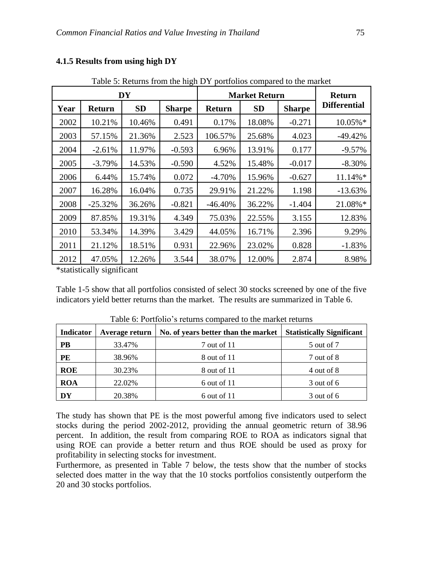|      | Table 5: Returns from the high D I portionos compared to the market |           |               |               |                      |               |                     |  |  |  |  |  |
|------|---------------------------------------------------------------------|-----------|---------------|---------------|----------------------|---------------|---------------------|--|--|--|--|--|
|      |                                                                     | DY        |               |               | <b>Market Return</b> |               | <b>Return</b>       |  |  |  |  |  |
| Year | <b>Return</b>                                                       | <b>SD</b> | <b>Sharpe</b> | <b>Return</b> | <b>SD</b>            | <b>Sharpe</b> | <b>Differential</b> |  |  |  |  |  |
| 2002 | 10.21%                                                              | 10.46%    | 0.491         | 0.17%         | 18.08%               | $-0.271$      | 10.05%*             |  |  |  |  |  |
| 2003 | 57.15%                                                              | 21.36%    | 2.523         | 106.57%       | 25.68%               | 4.023         | $-49.42%$           |  |  |  |  |  |
| 2004 | $-2.61%$                                                            | 11.97%    | $-0.593$      | 6.96%         | 13.91%               | 0.177         | $-9.57%$            |  |  |  |  |  |
| 2005 | $-3.79%$                                                            | 14.53%    | $-0.590$      | 4.52%         | 15.48%               | $-0.017$      | $-8.30%$            |  |  |  |  |  |
| 2006 | 6.44%                                                               | 15.74%    | 0.072         | $-4.70%$      | 15.96%               | $-0.627$      | 11.14%*             |  |  |  |  |  |
| 2007 | 16.28%                                                              | 16.04%    | 0.735         | 29.91%        | 21.22%               | 1.198         | $-13.63%$           |  |  |  |  |  |
| 2008 | $-25.32%$                                                           | 36.26%    | $-0.821$      | -46.40%       | 36.22%               | $-1.404$      | 21.08%*             |  |  |  |  |  |
| 2009 | 87.85%                                                              | 19.31%    | 4.349         | 75.03%        | 22.55%               | 3.155         | 12.83%              |  |  |  |  |  |
| 2010 | 53.34%                                                              | 14.39%    | 3.429         | 44.05%        | 16.71%               | 2.396         | 9.29%               |  |  |  |  |  |
| 2011 | 21.12%                                                              | 18.51%    | 0.931         | 22.96%        | 23.02%               | 0.828         | $-1.83%$            |  |  |  |  |  |
| 2012 | 47.05%                                                              | 12.26%    | 3.544         | 38.07%        | 12.00%               | 2.874         | 8.98%               |  |  |  |  |  |

#### **4.1.5 Results from using high DY**

Table 5: Returns from the high DY portfolios compared to the market

\*statistically significant

Table 1-5 show that all portfolios consisted of select 30 stocks screened by one of the five indicators yield better returns than the market. The results are summarized in Table 6.

| Indicator  | Average return | No. of years better than the market | <b>Statistically Significant</b> |
|------------|----------------|-------------------------------------|----------------------------------|
| <b>PB</b>  | 33.47%         | 7 out of 11                         | 5 out of 7                       |
| PE         | 38.96%         | 8 out of 11                         | 7 out of 8                       |
| <b>ROE</b> | 30.23%         | 8 out of 11                         | 4 out of 8                       |
| <b>ROA</b> | 22.02%         | $6$ out of 11                       | 3 out of 6                       |
| DY         | 20.38%         | $6$ out of 11                       | 3 out of 6                       |

Table 6: Portfolio's returns compared to the market returns

The study has shown that PE is the most powerful among five indicators used to select stocks during the period 2002-2012, providing the annual geometric return of 38.96 percent. In addition, the result from comparing ROE to ROA as indicators signal that using ROE can provide a better return and thus ROE should be used as proxy for profitability in selecting stocks for investment.

Furthermore, as presented in Table 7 below, the tests show that the number of stocks selected does matter in the way that the 10 stocks portfolios consistently outperform the 20 and 30 stocks portfolios.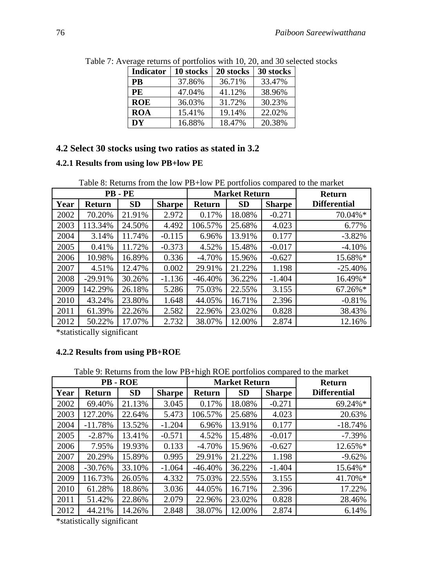| <b>Indicator</b> | 10 stocks | 20 stocks | 30 stocks |
|------------------|-----------|-----------|-----------|
| <b>PB</b>        | 37.86%    | 36.71%    | 33.47%    |
| <b>PE</b>        | 47.04%    | 41.12%    | 38.96%    |
| <b>ROE</b>       | 36.03%    | 31.72%    | 30.23%    |
| <b>ROA</b>       | 15.41%    | 19.14%    | 22.02%    |
| DY               | 16.88%    | 18.47%    | 20.38%    |

Table 7: Average returns of portfolios with 10, 20, and 30 selected stocks

# **4.2 Select 30 stocks using two ratios as stated in 3.2**

#### **4.2.1 Results from using low PB+low PE**

Table 8: Returns from the low PB+low PE portfolios compared to the market

|      |            | PB-PE     |               |               | <b>Market Return</b> |               | Return              |
|------|------------|-----------|---------------|---------------|----------------------|---------------|---------------------|
| Year | Return     | <b>SD</b> | <b>Sharpe</b> | <b>Return</b> | <b>SD</b>            | <b>Sharpe</b> | <b>Differential</b> |
| 2002 | 70.20%     | 21.91%    | 2.972         | 0.17%         | 18.08%               | $-0.271$      | 70.04%*             |
| 2003 | 113.34%    | 24.50%    | 4.492         | 106.57%       | 25.68%               | 4.023         | 6.77%               |
| 2004 | 3.14%      | 11.74%    | $-0.115$      | 6.96%         | 13.91%               | 0.177         | $-3.82%$            |
| 2005 | 0.41%      | 11.72%    | $-0.373$      | 4.52%         | 15.48%               | $-0.017$      | $-4.10%$            |
| 2006 | 10.98%     | 16.89%    | 0.336         | $-4.70\%$     | 15.96%               | $-0.627$      | 15.68%*             |
| 2007 | 4.51%      | 12.47%    | 0.002         | 29.91%        | 21.22%               | 1.198         | $-25.40%$           |
| 2008 | $-29.91\%$ | 30.26%    | $-1.136$      | $-46.40\%$    | 36.22%               | $-1.404$      | 16.49%*             |
| 2009 | 142.29%    | 26.18%    | 5.286         | 75.03%        | 22.55%               | 3.155         | $67.26\%*$          |
| 2010 | 43.24%     | 23.80%    | 1.648         | 44.05%        | 16.71%               | 2.396         | $-0.81%$            |
| 2011 | 61.39%     | 22.26%    | 2.582         | 22.96%        | 23.02%               | 0.828         | 38.43%              |
| 2012 | 50.22%     | 17.07%    | 2.732         | 38.07%        | 12.00%               | 2.874         | 12.16%              |

\*statistically significant

### **4.2.2 Results from using PB+ROE**

Table 9: Returns from the low PB+high ROE portfolios compared to the market

|      |               | PB-ROE    |               |            | <b>Market Return</b> |               | <b>Return</b>       |
|------|---------------|-----------|---------------|------------|----------------------|---------------|---------------------|
| Year | <b>Return</b> | <b>SD</b> | <b>Sharpe</b> | Return     | <b>SD</b>            | <b>Sharpe</b> | <b>Differential</b> |
| 2002 | 69.40%        | 21.13%    | 3.045         | 0.17%      | 18.08%               | $-0.271$      | 69.24%*             |
| 2003 | 127.20%       | 22.64%    | 5.473         | 106.57%    | 25.68%               | 4.023         | 20.63%              |
| 2004 | $-11.78%$     | 13.52%    | $-1.204$      | 6.96%      | 13.91%               | 0.177         | $-18.74%$           |
| 2005 | $-2.87\%$     | 13.41%    | $-0.571$      | 4.52%      | 15.48%               | $-0.017$      | $-7.39\%$           |
| 2006 | 7.95%         | 19.93%    | 0.133         | $-4.70%$   | 15.96%               | $-0.627$      | 12.65%*             |
| 2007 | 20.29%        | 15.89%    | 0.995         | 29.91%     | 21.22%               | 1.198         | $-9.62%$            |
| 2008 | $-30.76%$     | 33.10%    | $-1.064$      | $-46.40\%$ | 36.22%               | $-1.404$      | 15.64%*             |
| 2009 | 116.73%       | 26.05%    | 4.332         | 75.03%     | 22.55%               | 3.155         | 41.70%*             |
| 2010 | 61.28%        | 18.86%    | 3.036         | 44.05%     | 16.71%               | 2.396         | 17.22%              |
| 2011 | 51.42%        | 22.86%    | 2.079         | 22.96%     | 23.02%               | 0.828         | 28.46%              |
| 2012 | 44.21%        | 14.26%    | 2.848         | 38.07%     | 12.00%               | 2.874         | 6.14%               |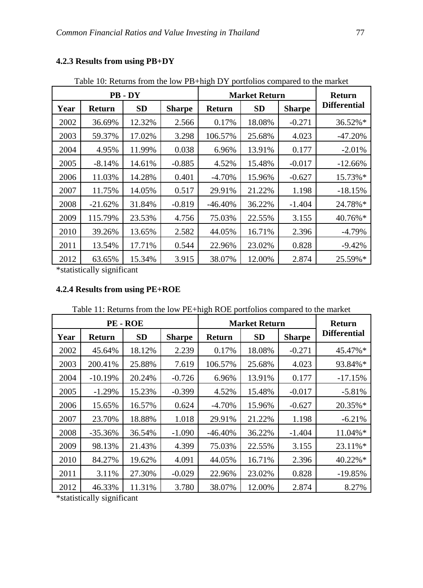|      | rable TV. Returns from the low $PB+ny$ portions compared to the market |           |               |               |                      |               |                     |
|------|------------------------------------------------------------------------|-----------|---------------|---------------|----------------------|---------------|---------------------|
|      |                                                                        | PB-DY     |               |               | <b>Market Return</b> |               | <b>Return</b>       |
| Year | Return                                                                 | <b>SD</b> | <b>Sharpe</b> | <b>Return</b> | <b>SD</b>            | <b>Sharpe</b> | <b>Differential</b> |
| 2002 | 36.69%                                                                 | 12.32%    | 2.566         | 0.17%         | 18.08%               | $-0.271$      | 36.52%*             |
| 2003 | 59.37%                                                                 | 17.02%    | 3.298         | 106.57%       | 25.68%               | 4.023         | $-47.20%$           |
| 2004 | 4.95%                                                                  | 11.99%    | 0.038         | 6.96%         | 13.91%               | 0.177         | $-2.01%$            |
| 2005 | $-8.14%$                                                               | 14.61%    | $-0.885$      | 4.52%         | 15.48%               | $-0.017$      | $-12.66%$           |
| 2006 | 11.03%                                                                 | 14.28%    | 0.401         | $-4.70%$      | 15.96%               | $-0.627$      | 15.73%*             |
| 2007 | 11.75%                                                                 | 14.05%    | 0.517         | 29.91%        | 21.22%               | 1.198         | $-18.15%$           |
| 2008 | $-21.62%$                                                              | 31.84%    | $-0.819$      | $-46.40%$     | 36.22%               | $-1.404$      | 24.78%*             |
| 2009 | 115.79%                                                                | 23.53%    | 4.756         | 75.03%        | 22.55%               | 3.155         | 40.76%*             |
| 2010 | 39.26%                                                                 | 13.65%    | 2.582         | 44.05%        | 16.71%               | 2.396         | $-4.79%$            |
| 2011 | 13.54%                                                                 | 17.71%    | 0.544         | 22.96%        | 23.02%               | 0.828         | $-9.42%$            |
| 2012 | 63.65%                                                                 | 15.34%    | 3.915         | 38.07%        | 12.00%               | 2.874         | 25.59%*             |

### **4.2.3 Results from using PB+DY**

Table 10: Returns from the low PB+high DY portfolios compared to the market

\*statistically significant

### **4.2.4 Results from using PE+ROE**

|      |               | PE-ROE    |               |               | <b>Market Return</b> |               | <b>Return</b>       |
|------|---------------|-----------|---------------|---------------|----------------------|---------------|---------------------|
| Year | <b>Return</b> | <b>SD</b> | <b>Sharpe</b> | <b>Return</b> | <b>SD</b>            | <b>Sharpe</b> | <b>Differential</b> |
| 2002 | 45.64%        | 18.12%    | 2.239         | 0.17%         | 18.08%               | $-0.271$      | 45.47%*             |
| 2003 | 200.41%       | 25.88%    | 7.619         | 106.57%       | 25.68%               | 4.023         | 93.84%*             |
| 2004 | $-10.19%$     | 20.24%    | $-0.726$      | 6.96%         | 13.91%               | 0.177         | $-17.15%$           |
| 2005 | $-1.29%$      | 15.23%    | $-0.399$      | 4.52%         | 15.48%               | $-0.017$      | $-5.81\%$           |
| 2006 | 15.65%        | 16.57%    | 0.624         | $-4.70%$      | 15.96%               | $-0.627$      | $20.35\%*$          |
| 2007 | 23.70%        | 18.88%    | 1.018         | 29.91%        | 21.22%               | 1.198         | $-6.21%$            |
| 2008 | $-35.36%$     | 36.54%    | $-1.090$      | $-46.40\%$    | 36.22%               | $-1.404$      | 11.04%*             |
| 2009 | 98.13%        | 21.43%    | 4.399         | 75.03%        | 22.55%               | 3.155         | $23.11\%*$          |
| 2010 | 84.27%        | 19.62%    | 4.091         | 44.05%        | 16.71%               | 2.396         | 40.22%*             |
| 2011 | 3.11%         | 27.30%    | $-0.029$      | 22.96%        | 23.02%               | 0.828         | $-19.85%$           |
| 2012 | 46.33%        | 11.31%    | 3.780         | 38.07%        | 12.00%               | 2.874         | 8.27%               |

Table 11: Returns from the low PE+high ROE portfolios compared to the market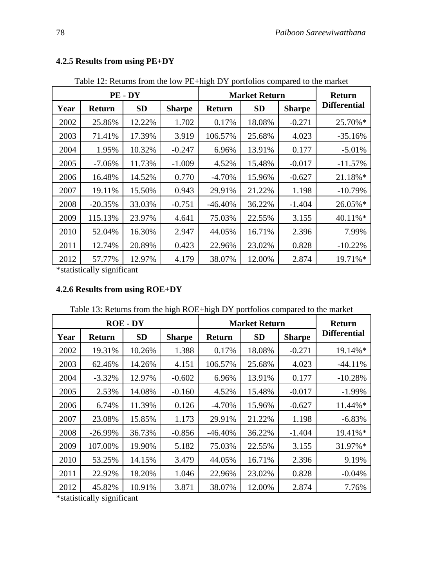|      | Table 12. Ketams from the fow TETHIGH DT portfolios compared to the market |           |               |                      |           |               |                     |  |  |  |  |
|------|----------------------------------------------------------------------------|-----------|---------------|----------------------|-----------|---------------|---------------------|--|--|--|--|
|      |                                                                            | PE-DY     |               | <b>Market Return</b> |           | Return        |                     |  |  |  |  |
| Year | Return                                                                     | <b>SD</b> | <b>Sharpe</b> | Return               | <b>SD</b> | <b>Sharpe</b> | <b>Differential</b> |  |  |  |  |
| 2002 | 25.86%                                                                     | 12.22%    | 1.702         | 0.17%                | 18.08%    | $-0.271$      | 25.70%*             |  |  |  |  |
| 2003 | 71.41%                                                                     | 17.39%    | 3.919         | 106.57%              | 25.68%    | 4.023         | $-35.16%$           |  |  |  |  |
| 2004 | 1.95%                                                                      | 10.32%    | $-0.247$      | 6.96%                | 13.91%    | 0.177         | $-5.01%$            |  |  |  |  |
| 2005 | $-7.06%$                                                                   | 11.73%    | $-1.009$      | 4.52%                | 15.48%    | $-0.017$      | $-11.57%$           |  |  |  |  |
| 2006 | 16.48%                                                                     | 14.52%    | 0.770         | $-4.70%$             | 15.96%    | $-0.627$      | 21.18%*             |  |  |  |  |
| 2007 | 19.11%                                                                     | 15.50%    | 0.943         | 29.91%               | 21.22%    | 1.198         | $-10.79%$           |  |  |  |  |
| 2008 | $-20.35%$                                                                  | 33.03%    | $-0.751$      | $-46.40%$            | 36.22%    | $-1.404$      | 26.05%*             |  |  |  |  |
| 2009 | 115.13%                                                                    | 23.97%    | 4.641         | 75.03%               | 22.55%    | 3.155         | 40.11%*             |  |  |  |  |
| 2010 | 52.04%                                                                     | 16.30%    | 2.947         | 44.05%               | 16.71%    | 2.396         | 7.99%               |  |  |  |  |
| 2011 | 12.74%                                                                     | 20.89%    | 0.423         | 22.96%               | 23.02%    | 0.828         | $-10.22%$           |  |  |  |  |
| 2012 | 57.77%                                                                     | 12.97%    | 4.179         | 38.07%               | 12.00%    | 2.874         | 19.71%*             |  |  |  |  |

### **4.2.5 Results from using PE+DY**

Table 12: Returns from the low PE+high DY portfolios compared to the market

\*statistically significant

### **4.2.6 Results from using ROE+DY**

| <b>ROE - DY</b> |               |           |               | <b>Market Return</b> |           |               | <b>Return</b>       |
|-----------------|---------------|-----------|---------------|----------------------|-----------|---------------|---------------------|
| Year            | <b>Return</b> | <b>SD</b> | <b>Sharpe</b> | <b>Return</b>        | <b>SD</b> | <b>Sharpe</b> | <b>Differential</b> |
| 2002            | 19.31%        | 10.26%    | 1.388         | 0.17%                | 18.08%    | $-0.271$      | 19.14%*             |
| 2003            | 62.46%        | 14.26%    | 4.151         | 106.57%              | 25.68%    | 4.023         | -44.11%             |
| 2004            | $-3.32\%$     | 12.97%    | $-0.602$      | 6.96%                | 13.91%    | 0.177         | $-10.28%$           |
| 2005            | 2.53%         | 14.08%    | $-0.160$      | 4.52%                | 15.48%    | $-0.017$      | $-1.99\%$           |
| 2006            | 6.74%         | 11.39%    | 0.126         | $-4.70%$             | 15.96%    | $-0.627$      | 11.44%*             |
| 2007            | 23.08%        | 15.85%    | 1.173         | 29.91%               | 21.22%    | 1.198         | $-6.83%$            |
| 2008            | $-26.99%$     | 36.73%    | $-0.856$      | $-46.40%$            | 36.22%    | $-1.404$      | 19.41%*             |
| 2009            | 107.00%       | 19.90%    | 5.182         | 75.03%               | 22.55%    | 3.155         | 31.97%*             |
| 2010            | 53.25%        | 14.15%    | 3.479         | 44.05%               | 16.71%    | 2.396         | 9.19%               |
| 2011            | 22.92%        | 18.20%    | 1.046         | 22.96%               | 23.02%    | 0.828         | $-0.04%$            |
| 2012            | 45.82%        | 10.91%    | 3.871         | 38.07%               | 12.00%    | 2.874         | 7.76%               |

Table 13: Returns from the high ROE+high DY portfolios compared to the market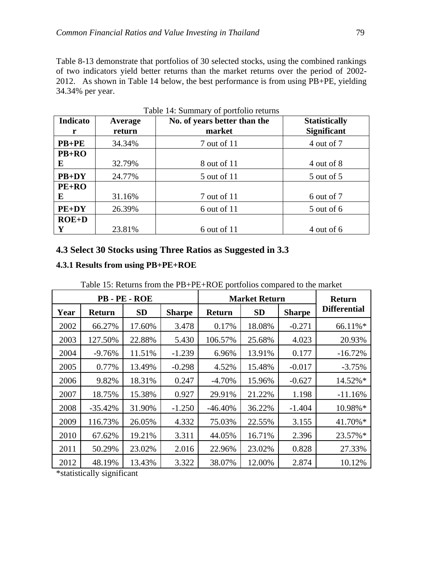Table 8-13 demonstrate that portfolios of 30 selected stocks, using the combined rankings of two indicators yield better returns than the market returns over the period of 2002- 2012. As shown in Table 14 below, the best performance is from using PB+PE, yielding 34.34% per year.

| <b>Indicato</b><br>r | Average<br>return | No. of years better than the<br>market | <b>Statistically</b><br><b>Significant</b> |
|----------------------|-------------------|----------------------------------------|--------------------------------------------|
| $PB+PE$              | 34.34%            | 7 out of 11                            | 4 out of 7                                 |
| $PB+RO$              |                   |                                        |                                            |
| E                    | 32.79%            | 8 out of 11                            | 4 out of 8                                 |
| $PB+DY$              | 24.77%            | 5 out of 11                            | 5 out of 5                                 |
| $PE+RO$              |                   |                                        |                                            |
| E                    | 31.16%            | 7 out of 11                            | 6 out of 7                                 |
| $PE+DY$              | 26.39%            | 6 out of 11                            | $5$ out of 6                               |
| $ROE+D$              |                   |                                        |                                            |
| Y                    | 23.81%            | 6 out of 11                            | 4 out of 6                                 |

Table 14: Summary of portfolio returns

#### **4.3 Select 30 Stocks using Three Ratios as Suggested in 3.3**

#### **4.3.1 Results from using PB+PE+ROE**

Table 15: Returns from the PB+PE+ROE portfolios compared to the market

| <b>PB - PE - ROE</b> |           |           | <b>Market Return</b> |           |           | <b>Return</b> |                     |
|----------------------|-----------|-----------|----------------------|-----------|-----------|---------------|---------------------|
| Year                 | Return    | <b>SD</b> | <b>Sharpe</b>        | Return    | <b>SD</b> | <b>Sharpe</b> | <b>Differential</b> |
| 2002                 | 66.27%    | 17.60%    | 3.478                | 0.17%     | 18.08%    | $-0.271$      | 66.11%*             |
| 2003                 | 127.50%   | 22.88%    | 5.430                | 106.57%   | 25.68%    | 4.023         | 20.93%              |
| 2004                 | $-9.76\%$ | 11.51%    | $-1.239$             | 6.96%     | 13.91%    | 0.177         | $-16.72\%$          |
| 2005                 | 0.77%     | 13.49%    | $-0.298$             | 4.52%     | 15.48%    | $-0.017$      | $-3.75%$            |
| 2006                 | 9.82%     | 18.31%    | 0.247                | $-4.70\%$ | 15.96%    | $-0.627$      | 14.52%*             |
| 2007                 | 18.75%    | 15.38%    | 0.927                | 29.91%    | 21.22%    | 1.198         | $-11.16%$           |
| 2008                 | $-35.42%$ | 31.90%    | $-1.250$             | -46.40%   | 36.22%    | $-1.404$      | 10.98%*             |
| 2009                 | 116.73%   | 26.05%    | 4.332                | 75.03%    | 22.55%    | 3.155         | $41.70\%*$          |
| 2010                 | 67.62%    | 19.21%    | 3.311                | 44.05%    | 16.71%    | 2.396         | 23.57%*             |
| 2011                 | 50.29%    | 23.02%    | 2.016                | 22.96%    | 23.02%    | 0.828         | 27.33%              |
| 2012                 | 48.19%    | 13.43%    | 3.322                | 38.07%    | 12.00%    | 2.874         | 10.12%              |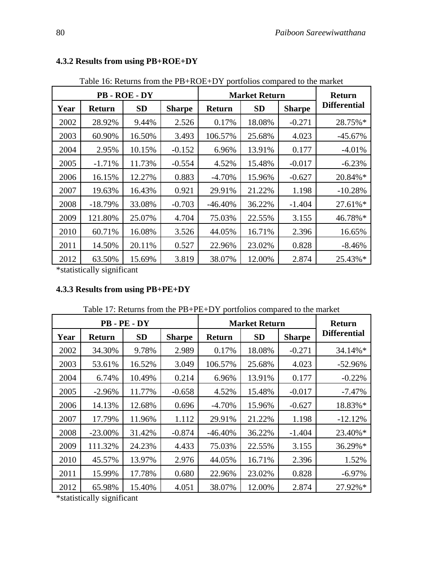| Twie To. Kealing from the TD TROL D T portfolios compared to the market |           |           |               |                      |           |               |                     |
|-------------------------------------------------------------------------|-----------|-----------|---------------|----------------------|-----------|---------------|---------------------|
|                                                                         |           | PB-ROE-DY |               | <b>Market Return</b> |           |               | <b>Return</b>       |
| Year                                                                    | Return    | <b>SD</b> | <b>Sharpe</b> | <b>Return</b>        | <b>SD</b> | <b>Sharpe</b> | <b>Differential</b> |
| 2002                                                                    | 28.92%    | 9.44%     | 2.526         | 0.17%                | 18.08%    | $-0.271$      | 28.75%*             |
| 2003                                                                    | 60.90%    | 16.50%    | 3.493         | 106.57%              | 25.68%    | 4.023         | $-45.67\%$          |
| 2004                                                                    | 2.95%     | 10.15%    | $-0.152$      | 6.96%                | 13.91%    | 0.177         | $-4.01%$            |
| 2005                                                                    | $-1.71%$  | 11.73%    | $-0.554$      | 4.52%                | 15.48%    | $-0.017$      | $-6.23%$            |
| 2006                                                                    | 16.15%    | 12.27%    | 0.883         | $-4.70%$             | 15.96%    | $-0.627$      | 20.84%*             |
| 2007                                                                    | 19.63%    | 16.43%    | 0.921         | 29.91%               | 21.22%    | 1.198         | $-10.28%$           |
| 2008                                                                    | $-18.79%$ | 33.08%    | $-0.703$      | $-46.40%$            | 36.22%    | $-1.404$      | 27.61%*             |
| 2009                                                                    | 121.80%   | 25.07%    | 4.704         | 75.03%               | 22.55%    | 3.155         | 46.78%*             |
| 2010                                                                    | 60.71%    | 16.08%    | 3.526         | 44.05%               | 16.71%    | 2.396         | 16.65%              |
| 2011                                                                    | 14.50%    | 20.11%    | 0.527         | 22.96%               | 23.02%    | 0.828         | $-8.46\%$           |
| 2012                                                                    | 63.50%    | 15.69%    | 3.819         | 38.07%               | 12.00%    | 2.874         | 25.43%*             |

### **4.3.2 Results from using PB+ROE+DY**

Table 16: Returns from the PB+ROE+DY portfolios compared to the market

\*statistically significant

### **4.3.3 Results from using PB+PE+DY**

| PB - PE - DY |               |           |               | <b>Market Return</b> |           |               | <b>Return</b>       |
|--------------|---------------|-----------|---------------|----------------------|-----------|---------------|---------------------|
| Year         | <b>Return</b> | <b>SD</b> | <b>Sharpe</b> | <b>Return</b>        | <b>SD</b> | <b>Sharpe</b> | <b>Differential</b> |
| 2002         | 34.30%        | 9.78%     | 2.989         | 0.17%                | 18.08%    | $-0.271$      | $34.14\%*$          |
| 2003         | 53.61%        | 16.52%    | 3.049         | 106.57%              | 25.68%    | 4.023         | -52.96%             |
| 2004         | 6.74%         | 10.49%    | 0.214         | 6.96%                | 13.91%    | 0.177         | $-0.22\%$           |
| 2005         | $-2.96%$      | 11.77%    | $-0.658$      | 4.52%                | 15.48%    | $-0.017$      | $-7.47%$            |
| 2006         | 14.13%        | 12.68%    | 0.696         | $-4.70%$             | 15.96%    | $-0.627$      | 18.83%*             |
| 2007         | 17.79%        | 11.96%    | 1.112         | 29.91%               | 21.22%    | 1.198         | $-12.12%$           |
| 2008         | $-23.00\%$    | 31.42%    | $-0.874$      | $-46.40\%$           | 36.22%    | $-1.404$      | 23.40%*             |
| 2009         | 111.32%       | 24.23%    | 4.433         | 75.03%               | 22.55%    | 3.155         | $36.29\%*$          |
| 2010         | 45.57%        | 13.97%    | 2.976         | 44.05%               | 16.71%    | 2.396         | 1.52%               |
| 2011         | 15.99%        | 17.78%    | 0.680         | 22.96%               | 23.02%    | 0.828         | $-6.97\%$           |
| 2012         | 65.98%        | 15.40%    | 4.051         | 38.07%               | 12.00%    | 2.874         | $27.92\%*$          |

Table 17: Returns from the PB+PE+DY portfolios compared to the market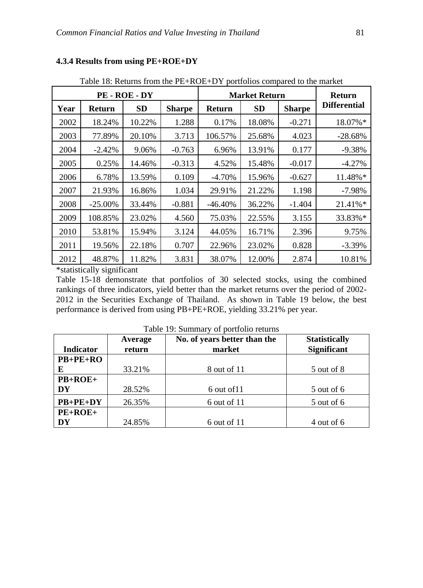| Two To. Returns from the $1 + 1 + 1 = 1$ portfollow compared to the matrice |            |           |               |                      |           |               |                     |
|-----------------------------------------------------------------------------|------------|-----------|---------------|----------------------|-----------|---------------|---------------------|
|                                                                             |            | PE-ROE-DY |               | <b>Market Return</b> |           |               | <b>Return</b>       |
| Year                                                                        | Return     | <b>SD</b> | <b>Sharpe</b> | <b>Return</b>        | <b>SD</b> | <b>Sharpe</b> | <b>Differential</b> |
| 2002                                                                        | 18.24%     | 10.22%    | 1.288         | 0.17%                | 18.08%    | $-0.271$      | 18.07%*             |
| 2003                                                                        | 77.89%     | 20.10%    | 3.713         | 106.57%              | 25.68%    | 4.023         | $-28.68%$           |
| 2004                                                                        | $-2.42%$   | 9.06%     | $-0.763$      | 6.96%                | 13.91%    | 0.177         | $-9.38%$            |
| 2005                                                                        | 0.25%      | 14.46%    | $-0.313$      | 4.52%                | 15.48%    | $-0.017$      | $-4.27%$            |
| 2006                                                                        | 6.78%      | 13.59%    | 0.109         | $-4.70%$             | 15.96%    | $-0.627$      | 11.48%*             |
| 2007                                                                        | 21.93%     | 16.86%    | 1.034         | 29.91%               | 21.22%    | 1.198         | $-7.98%$            |
| 2008                                                                        | $-25.00\%$ | 33.44%    | $-0.881$      | $-46.40%$            | 36.22%    | $-1.404$      | 21.41%*             |
| 2009                                                                        | 108.85%    | 23.02%    | 4.560         | 75.03%               | 22.55%    | 3.155         | 33.83%*             |
| 2010                                                                        | 53.81%     | 15.94%    | 3.124         | 44.05%               | 16.71%    | 2.396         | 9.75%               |
| 2011                                                                        | 19.56%     | 22.18%    | 0.707         | 22.96%               | 23.02%    | 0.828         | $-3.39%$            |
| 2012                                                                        | 48.87%     | 11.82%    | 3.831         | 38.07%               | 12.00%    | 2.874         | 10.81%              |

#### **4.3.4 Results from using PE+ROE+DY**

Table 18: Returns from the PE+ROE+DY portfolios compared to the market

\*statistically significant

Table 15-18 demonstrate that portfolios of 30 selected stocks, using the combined rankings of three indicators, yield better than the market returns over the period of 2002- 2012 in the Securities Exchange of Thailand. As shown in Table 19 below, the best performance is derived from using PB+PE+ROE, yielding 33.21% per year.

|                  | Average | No. of years better than the | <b>Statistically</b> |
|------------------|---------|------------------------------|----------------------|
| <b>Indicator</b> | return  | market                       | <b>Significant</b>   |
| $PB+PE+RO$       |         |                              |                      |
| E                | 33.21%  | 8 out of 11                  | 5 out of 8           |
| $PB+ROE+$        |         |                              |                      |
| DY               | 28.52%  | 6 out of 11                  | 5 out of 6           |
| $PB+PE+DY$       | 26.35%  | 6 out of 11                  | 5 out of 6           |
| $PE+ROE+$        |         |                              |                      |
| DY               | 24.85%  | 6 out of 11                  | 4 out of 6           |

Table 19: Summary of portfolio returns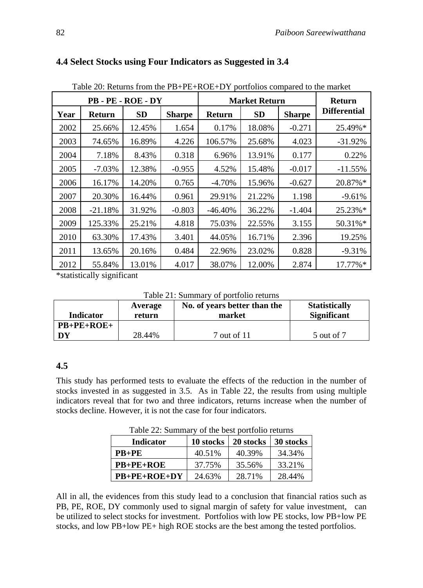|      |               | PB-PE-ROE-DY |               | <b>Market Return</b> |           |               | <b>Return</b>       |
|------|---------------|--------------|---------------|----------------------|-----------|---------------|---------------------|
| Year | <b>Return</b> | <b>SD</b>    | <b>Sharpe</b> | <b>Return</b>        | <b>SD</b> | <b>Sharpe</b> | <b>Differential</b> |
| 2002 | 25.66%        | 12.45%       | 1.654         | 0.17%                | 18.08%    | $-0.271$      | 25.49%*             |
| 2003 | 74.65%        | 16.89%       | 4.226         | 106.57%              | 25.68%    | 4.023         | $-31.92\%$          |
| 2004 | 7.18%         | 8.43%        | 0.318         | 6.96%                | 13.91%    | 0.177         | 0.22%               |
| 2005 | $-7.03\%$     | 12.38%       | $-0.955$      | 4.52%                | 15.48%    | $-0.017$      | $-11.55\%$          |
| 2006 | 16.17%        | 14.20%       | 0.765         | $-4.70%$             | 15.96%    | $-0.627$      | $20.87\%*$          |
| 2007 | 20.30%        | 16.44%       | 0.961         | 29.91%               | 21.22%    | 1.198         | $-9.61\%$           |
| 2008 | $-21.18%$     | 31.92%       | $-0.803$      | $-46.40\%$           | 36.22%    | $-1.404$      | $25.23\%*$          |
| 2009 | 125.33%       | 25.21%       | 4.818         | 75.03%               | 22.55%    | 3.155         | 50.31%*             |
| 2010 | 63.30%        | 17.43%       | 3.401         | 44.05%               | 16.71%    | 2.396         | 19.25%              |
| 2011 | 13.65%        | 20.16%       | 0.484         | 22.96%               | 23.02%    | 0.828         | $-9.31\%$           |
| 2012 | 55.84%        | 13.01%       | 4.017         | 38.07%               | 12.00%    | 2.874         | 17.77%*             |

# **4.4 Select Stocks using Four Indicators as Suggested in 3.4**

Table 20: Returns from the PB+PE+ROE+DY portfolios compared to the market

\*statistically significant

Table 21: Summary of portfolio returns

| <b>Indicator</b> | Average<br>return | No. of years better than the<br>market | <b>Statistically</b><br><b>Significant</b> |
|------------------|-------------------|----------------------------------------|--------------------------------------------|
| $PB+PE+ROE+$     |                   |                                        |                                            |
| DY               | 28.44%            | 7 out of 11                            | 5 out of 7                                 |

# **4.5**

This study has performed tests to evaluate the effects of the reduction in the number of stocks invested in as suggested in 3.5. As in Table 22, the results from using multiple indicators reveal that for two and three indicators, returns increase when the number of stocks decline. However, it is not the case for four indicators.

| 1 acre <i>22</i> , camma , or the cest cortrollo retains |           |           |           |  |  |  |  |  |
|----------------------------------------------------------|-----------|-----------|-----------|--|--|--|--|--|
| <b>Indicator</b>                                         | 10 stocks | 20 stocks | 30 stocks |  |  |  |  |  |
| $PR + PE$                                                | 40.51%    | 40.39%    | 34.34%    |  |  |  |  |  |
| $PB+PE+ROE$                                              | 37.75%    | 35.56%    | 33.21%    |  |  |  |  |  |
| $PB+PE+ROE+DY$                                           | 24.63%    | 28.71%    | 28.44%    |  |  |  |  |  |

Table 22: Summary of the best portfolio returns

All in all, the evidences from this study lead to a conclusion that financial ratios such as PB, PE, ROE, DY commonly used to signal margin of safety for value investment, can be utilized to select stocks for investment. Portfolios with low PE stocks, low PB+low PE stocks, and low PB+low PE+ high ROE stocks are the best among the tested portfolios.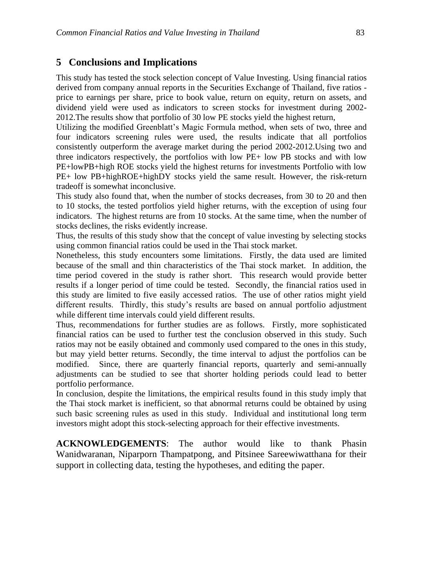### **5 Conclusions and Implications**

This study has tested the stock selection concept of Value Investing. Using financial ratios derived from company annual reports in the Securities Exchange of Thailand, five ratios price to earnings per share, price to book value, return on equity, return on assets, and dividend yield were used as indicators to screen stocks for investment during 2002- 2012.The results show that portfolio of 30 low PE stocks yield the highest return,

Utilizing the modified Greenblatt's Magic Formula method, when sets of two, three and four indicators screening rules were used, the results indicate that all portfolios consistently outperform the average market during the period 2002-2012.Using two and three indicators respectively, the portfolios with low PE+ low PB stocks and with low PE+lowPB+high ROE stocks yield the highest returns for investments Portfolio with low PE+ low PB+highROE+highDY stocks yield the same result. However, the risk-return tradeoff is somewhat inconclusive.

This study also found that, when the number of stocks decreases, from 30 to 20 and then to 10 stocks, the tested portfolios yield higher returns, with the exception of using four indicators. The highest returns are from 10 stocks. At the same time, when the number of stocks declines, the risks evidently increase.

Thus, the results of this study show that the concept of value investing by selecting stocks using common financial ratios could be used in the Thai stock market.

Nonetheless, this study encounters some limitations. Firstly, the data used are limited because of the small and thin characteristics of the Thai stock market. In addition, the time period covered in the study is rather short. This research would provide better results if a longer period of time could be tested. Secondly, the financial ratios used in this study are limited to five easily accessed ratios. The use of other ratios might yield different results. Thirdly, this study's results are based on annual portfolio adjustment while different time intervals could yield different results.

Thus, recommendations for further studies are as follows. Firstly, more sophisticated financial ratios can be used to further test the conclusion observed in this study. Such ratios may not be easily obtained and commonly used compared to the ones in this study, but may yield better returns. Secondly, the time interval to adjust the portfolios can be modified. Since, there are quarterly financial reports, quarterly and semi-annually adjustments can be studied to see that shorter holding periods could lead to better portfolio performance.

In conclusion, despite the limitations, the empirical results found in this study imply that the Thai stock market is inefficient, so that abnormal returns could be obtained by using such basic screening rules as used in this study. Individual and institutional long term investors might adopt this stock-selecting approach for their effective investments.

**ACKNOWLEDGEMENTS**: The author would like to thank Phasin Wanidwaranan, Niparporn Thampatpong, and Pitsinee Sareewiwatthana for their support in collecting data, testing the hypotheses, and editing the paper.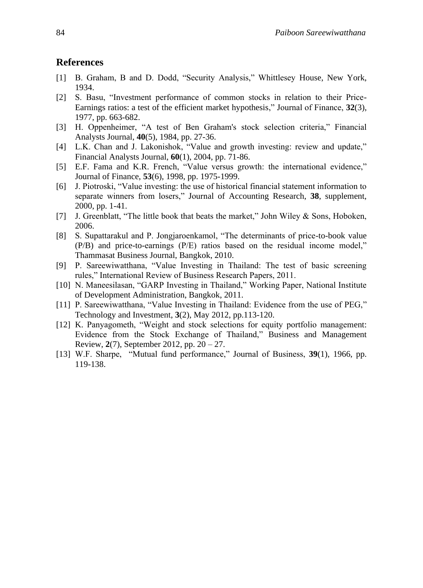#### **References**

- [1] B. Graham, B and D. Dodd, "Security Analysis," Whittlesey House, New York, 1934.
- [2] S. Basu, "Investment performance of common stocks in relation to their Price-Earnings ratios: a test of the efficient market hypothesis," Journal of Finance, **32**(3), 1977, pp. 663-682.
- [3] H. Oppenheimer, "A test of Ben Graham's stock selection criteria," Financial Analysts Journal, **40**(5), 1984, pp. 27-36.
- [4] L.K. Chan and J. Lakonishok, "Value and growth investing: review and update," Financial Analysts Journal, **60**(1), 2004, pp. 71-86.
- [5] E.F. Fama and K.R. French, "Value versus growth: the international evidence," Journal of Finance, **53**(6), 1998, pp. 1975-1999.
- [6] J. Piotroski, "Value investing: the use of historical financial statement information to separate winners from losers," Journal of Accounting Research, **38**, supplement, 2000, pp. 1-41.
- [7] J. Greenblatt, "The little book that beats the market," John Wiley & Sons, Hoboken, 2006.
- [8] S. Supattarakul and P. Jongjaroenkamol, "The determinants of price-to-book value (P/B) and price-to-earnings (P/E) ratios based on the residual income model," Thammasat Business Journal, Bangkok, 2010.
- [9] P. Sareewiwatthana, "Value Investing in Thailand: The test of basic screening rules," International Review of Business Research Papers, 2011.
- [10] N. Maneesilasan, "GARP Investing in Thailand," Working Paper, National Institute of Development Administration, Bangkok, 2011.
- [11] P. Sareewiwatthana, "Value Investing in Thailand: Evidence from the use of PEG," Technology and Investment, **3**(2), May 2012, pp.113-120.
- [12] K. Panyagometh, "Weight and stock selections for equity portfolio management: Evidence from the Stock Exchange of Thailand," Business and Management Review, **2**(7), September 2012, pp. 20 – 27.
- [13] W.F. Sharpe, "Mutual fund performance," Journal of Business, **39**(1), 1966, pp. 119-138.